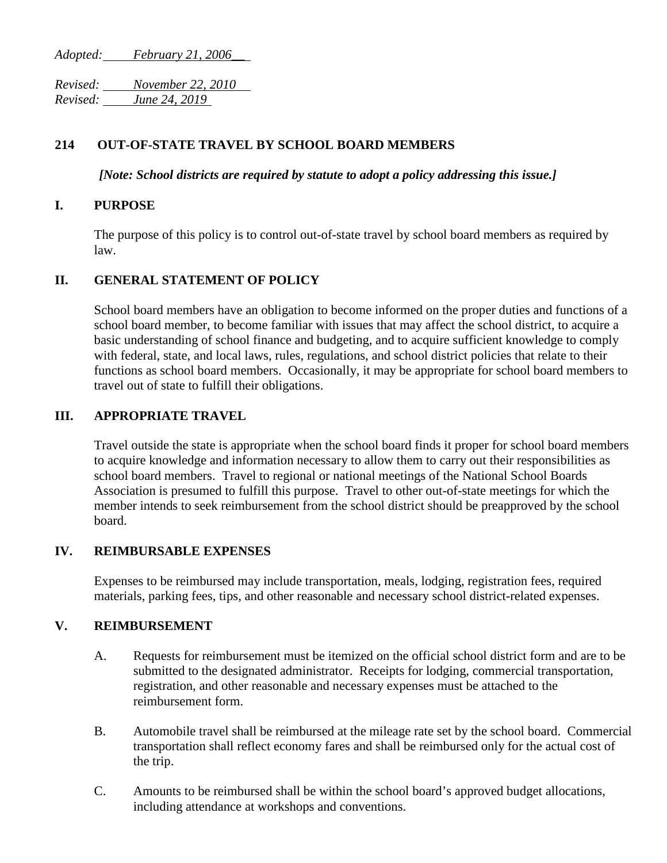*Adopted: February 21, 2006\_\_*

*Revised: November 22, 2010 Revised: June 24, 2019*

# **214 OUT-OF-STATE TRAVEL BY SCHOOL BOARD MEMBERS**

*[Note: School districts are required by statute to adopt a policy addressing this issue.]*

#### **I. PURPOSE**

The purpose of this policy is to control out-of-state travel by school board members as required by law.

## **II. GENERAL STATEMENT OF POLICY**

School board members have an obligation to become informed on the proper duties and functions of a school board member, to become familiar with issues that may affect the school district, to acquire a basic understanding of school finance and budgeting, and to acquire sufficient knowledge to comply with federal, state, and local laws, rules, regulations, and school district policies that relate to their functions as school board members. Occasionally, it may be appropriate for school board members to travel out of state to fulfill their obligations.

## **III. APPROPRIATE TRAVEL**

Travel outside the state is appropriate when the school board finds it proper for school board members to acquire knowledge and information necessary to allow them to carry out their responsibilities as school board members. Travel to regional or national meetings of the National School Boards Association is presumed to fulfill this purpose. Travel to other out-of-state meetings for which the member intends to seek reimbursement from the school district should be preapproved by the school board.

## **IV. REIMBURSABLE EXPENSES**

Expenses to be reimbursed may include transportation, meals, lodging, registration fees, required materials, parking fees, tips, and other reasonable and necessary school district-related expenses.

## **V. REIMBURSEMENT**

- A. Requests for reimbursement must be itemized on the official school district form and are to be submitted to the designated administrator. Receipts for lodging, commercial transportation, registration, and other reasonable and necessary expenses must be attached to the reimbursement form.
- B. Automobile travel shall be reimbursed at the mileage rate set by the school board. Commercial transportation shall reflect economy fares and shall be reimbursed only for the actual cost of the trip.
- C. Amounts to be reimbursed shall be within the school board's approved budget allocations, including attendance at workshops and conventions.